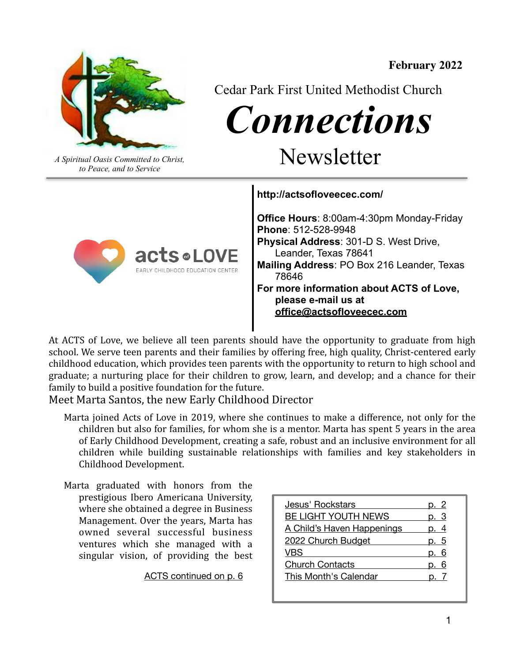

**February 2022** 

*Connections* 

*A Spiritual Oasis Committed to Christ,* Newsletter

Cedar Park First United Methodist Church

*to Peace, and to Service*

**http://actsofloveecec.com/** 



**Office Hours**: 8:00am-4:30pm Monday-Friday **Phone**: 512-528-9948 **Physical Address**: 301-D S. West Drive, Leander, Texas 78641 **Mailing Address**: PO Box 216 Leander, Texas 78646 **For more information about ACTS of Love, please e-mail us at [office@actsofloveecec.com](mailto:office@actsofloveecec.com)**

At ACTS of Love, we believe all teen parents should have the opportunity to graduate from high school. We serve teen parents and their families by offering free, high quality, Christ-centered early childhood education, which provides teen parents with the opportunity to return to high school and graduate; a nurturing place for their children to grow, learn, and develop; and a chance for their family to build a positive foundation for the future.

Meet Marta Santos, the new Early Childhood Director

- Marta joined Acts of Love in 2019, where she continues to make a difference, not only for the children but also for families, for whom she is a mentor. Marta has spent 5 years in the area of Early Childhood Development, creating a safe, robust and an inclusive environment for all children while building sustainable relationships with families and key stakeholders in Childhood Development.
- Marta graduated with honors from the prestigious Ibero Americana University, where she obtained a degree in Business Management. Over the years, Marta has owned several successful business ventures which she managed with a singular vision, of providing the best

[ACTS continued on p. 6](#page-5-0)

| Jesus' Rockstars           | p. 2 |
|----------------------------|------|
| BE LIGHT YOUTH NEWS        | p. 3 |
| A Child's Haven Happenings | p. 4 |
| 2022 Church Budget         | p. 5 |
| VBS                        |      |
| <b>Church Contacts</b>     | 6    |
| This Month's Calendar      |      |
|                            |      |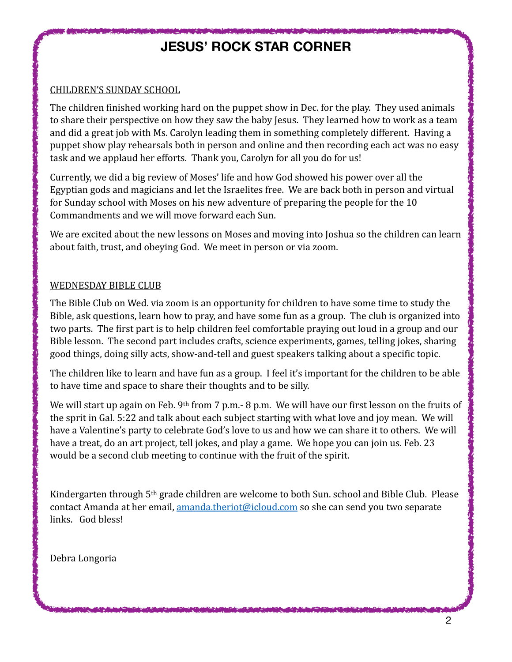## <span id="page-1-0"></span>**JESUS' ROCK STAR CORNER**

### CHILDREN'S SUNDAY SCHOOL

The children finished working hard on the puppet show in Dec. for the play. They used animals to share their perspective on how they saw the baby Jesus. They learned how to work as a team and did a great job with Ms. Carolyn leading them in something completely different. Having a puppet show play rehearsals both in person and online and then recording each act was no easy task and we applaud her efforts. Thank you, Carolyn for all you do for us!

Currently, we did a big review of Moses' life and how God showed his power over all the Egyptian gods and magicians and let the Israelites free. We are back both in person and virtual for Sunday school with Moses on his new adventure of preparing the people for the 10 Commandments and we will move forward each Sun.

We are excited about the new lessons on Moses and moving into Joshua so the children can learn about faith, trust, and obeying God. We meet in person or via zoom.

### WEDNESDAY BIBLE CLUB

The Bible Club on Wed. via zoom is an opportunity for children to have some time to study the Bible, ask questions, learn how to pray, and have some fun as a group. The club is organized into two parts. The first part is to help children feel comfortable praying out loud in a group and our Bible lesson. The second part includes crafts, science experiments, games, telling jokes, sharing good things, doing silly acts, show-and-tell and guest speakers talking about a specific topic.

The children like to learn and have fun as a group. I feel it's important for the children to be able to have time and space to share their thoughts and to be silly.

We will start up again on Feb.  $9<sup>th</sup>$  from 7 p.m.- 8 p.m. We will have our first lesson on the fruits of the sprit in Gal. 5:22 and talk about each subject starting with what love and joy mean. We will have a Valentine's party to celebrate God's love to us and how we can share it to others. We will have a treat, do an art project, tell jokes, and play a game. We hope you can join us. Feb. 23 would be a second club meeting to continue with the fruit of the spirit.

Kindergarten through  $5<sup>th</sup>$  grade children are welcome to both Sun. school and Bible Club. Please contact Amanda at her email, amanda.theriot@icloud.com so she can send you two separate links. God bless!

Debra Longoria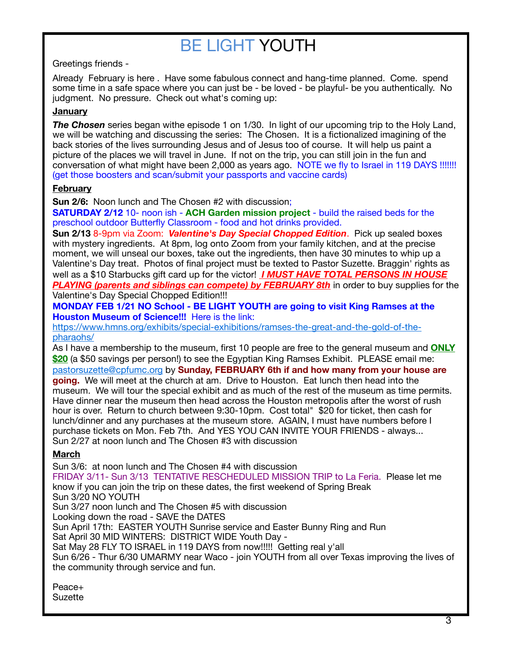# <span id="page-2-0"></span>BE LIGHT YOUTH

Greetings friends -

Already February is here . Have some fabulous connect and hang-time planned. Come. spend some time in a safe space where you can just be - be loved - be playful- be you authentically. No judgment. No pressure. Check out what's coming up:

### **January**

**The Chosen** series began withe episode 1 on 1/30. In light of our upcoming trip to the Holy Land, we will be watching and discussing the series: The Chosen. It is a fictionalized imagining of the back stories of the lives surrounding Jesus and of Jesus too of course. It will help us paint a picture of the places we will travel in June. If not on the trip, you can still join in the fun and conversation of what might have been 2,000 as years ago. NOTE we fly to Israel in 119 DAYS !!!!!!! (get those boosters and scan/submit your passports and vaccine cards)

### **February**

**Sun 2/6:** Noon lunch and The Chosen #2 with discussion;

**SATURDAY 2/12** 10- noon ish - **ACH Garden mission project** - build the raised beds for the preschool outdoor Butterfly Classroom - food and hot drinks provided.

**Sun 2/13** 8-9pm via Zoom: *Valentine's Day Special Chopped Edition*. Pick up sealed boxes with mystery ingredients. At 8pm, log onto Zoom from your family kitchen, and at the precise moment, we will unseal our boxes, take out the ingredients, then have 30 minutes to whip up a Valentine's Day treat. Photos of final project must be texted to Pastor Suzette. Braggin' rights as well as a \$10 Starbucks gift card up for the victor! *I MUST HAVE TOTAL PERSONS IN HOUSE PLAYING (parents and siblings can compete) by FEBRUARY 8th* in order to buy supplies for the

Valentine's Day Special Chopped Edition!!!

**MONDAY FEB 1/21 NO School - BE LIGHT YOUTH are going to visit King Ramses at the Houston Museum of Science!!!** Here is the link:

[https://www.hmns.org/exhibits/special-exhibitions/ramses-the-great-and-the-gold-of-the](https://www.hmns.org/exhibits/special-exhibitions/ramses-the-great-and-the-gold-of-the-pharaohs/)[pharaohs/](https://www.hmns.org/exhibits/special-exhibitions/ramses-the-great-and-the-gold-of-the-pharaohs/)

As I have a membership to the museum, first 10 people are free to the general museum and **ONLY \$20** (a \$50 savings per person!) to see the Egyptian King Ramses Exhibit. PLEASE email me: [pastorsuzette@cpfumc.org](mailto:pastorsuzette@cpfumc.org) by **Sunday, FEBRUARY 6th if and how many from your house are going.** We will meet at the church at am. Drive to Houston. Eat lunch then head into the museum. We will tour the special exhibit and as much of the rest of the museum as time permits. Have dinner near the museum then head across the Houston metropolis after the worst of rush hour is over. Return to church between 9:30-10pm. Cost total" \$20 for ticket, then cash for lunch/dinner and any purchases at the museum store. AGAIN, I must have numbers before I purchase tickets on Mon. Feb 7th. And YES YOU CAN INVITE YOUR FRIENDS - always... Sun 2/27 at noon lunch and The Chosen #3 with discussion

### **March**

Sun 3/6: at noon lunch and The Chosen #4 with discussion FRIDAY 3/11- Sun 3/13 TENTATIVE RESCHEDULED MISSION TRIP to La Feria. Please let me know if you can join the trip on these dates, the first weekend of Spring Break Sun 3/20 NO YOUTH Sun 3/27 noon lunch and The Chosen #5 with discussion Looking down the road - SAVE the DATES Sun April 17th: EASTER YOUTH Sunrise service and Easter Bunny Ring and Run Sat April 30 MID WINTERS: DISTRICT WIDE Youth Day - Sat May 28 FLY TO ISRAEL in 119 DAYS from now!!!!! Getting real y'all Sun 6/26 - Thur 6/30 UMARMY near Waco - join YOUTH from all over Texas improving the lives of the community through service and fun.

Peace+ **Suzette**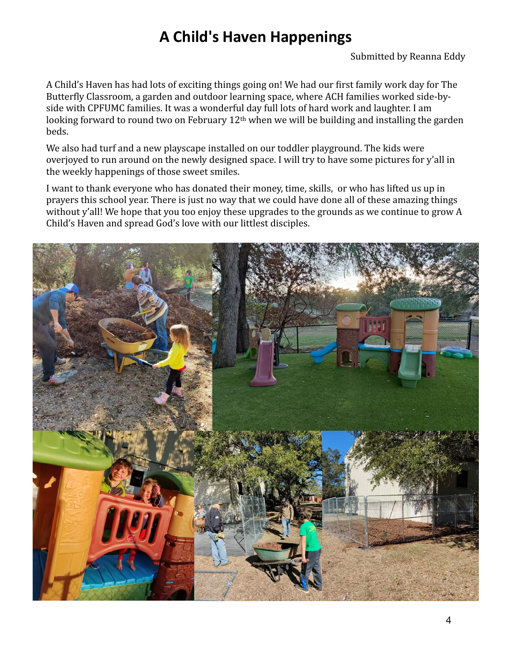## <span id="page-3-0"></span>**A Child's Haven Happenings**

A Child's Haven has had lots of exciting things going on! We had our first family work day for The Butterfly Classroom, a garden and outdoor learning space, where ACH families worked side-byside with CPFUMC families. It was a wonderful day full lots of hard work and laughter. I am looking forward to round two on February  $12<sup>th</sup>$  when we will be building and installing the garden beds. 

We also had turf and a new playscape installed on our toddler playground. The kids were overjoyed to run around on the newly designed space. I will try to have some pictures for y'all in the weekly happenings of those sweet smiles.

I want to thank everyone who has donated their money, time, skills, or who has lifted us up in prayers this school year. There is just no way that we could have done all of these amazing things without y'all! We hope that you too enjoy these upgrades to the grounds as we continue to grow A Child's Haven and spread God's love with our littlest disciples.

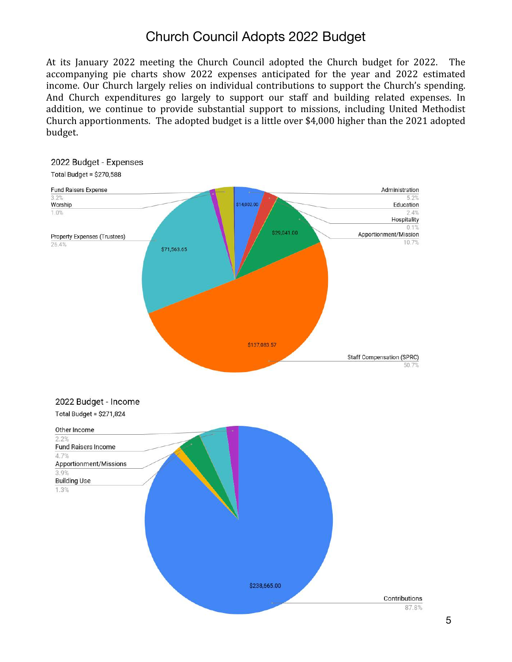## <span id="page-4-0"></span>Church Council Adopts 2022 Budget

At its January 2022 meeting the Church Council adopted the Church budget for 2022. The accompanying pie charts show 2022 expenses anticipated for the year and 2022 estimated income. Our Church largely relies on individual contributions to support the Church's spending. And Church expenditures go largely to support our staff and building related expenses. In addition, we continue to provide substantial support to missions, including United Methodist Church apportionments. The adopted budget is a little over \$4,000 higher than the 2021 adopted budget.

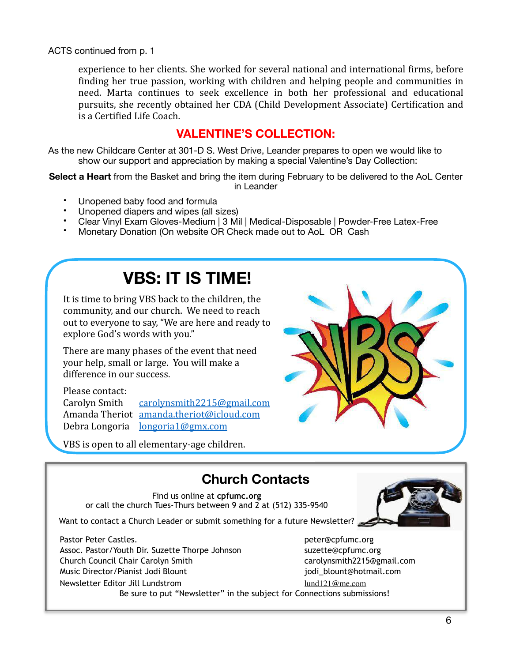<span id="page-5-0"></span>ACTS continued from p. 1

experience to her clients. She worked for several national and international firms, before finding her true passion, working with children and helping people and communities in need. Marta continues to seek excellence in both her professional and educational pursuits, she recently obtained her CDA (Child Development Associate) Certification and is a Certified Life Coach.

### **VALENTINE'S COLLECTION:**

As the new Childcare Center at 301-D S. West Drive, Leander prepares to open we would like to show our support and appreciation by making a special Valentine's Day Collection:

**Select a Heart** from the Basket and bring the item during February to be delivered to the AoL Center in Leander

- Unopened baby food and formula
- Unopened diapers and wipes (all sizes)
- Clear Vinyl Exam Gloves-Medium | 3 Mil | Medical-Disposable | Powder-Free Latex-Free
- Monetary Donation (On website OR Check made out to AoL OR Cash

# **VBS: IT IS TIME!**

It is time to bring VBS back to the children, the community, and our church. We need to reach out to everyone to say, "We are here and ready to explore God's words with you."

There are many phases of the event that need your help, small or large. You will make a difference in our success.

#### Please contact:

Carolyn Smith [carolynsmith2215@gmail.com](mailto:carolynsmith2215@gmail.com) Amanda Theriot [amanda.theriot@icloud.com](mailto:amanda.theriot@icloud.com) Debra Longoria [longoria1@gmx.com](mailto:longoria1@gmx.com)

VBS is open to all elementary-age children.



## **Church Contacts**

Find us online at **cpfumc.org** or call the church Tues-Thurs between 9 and 2 at (512) 335-9540

Want to contact a Church Leader or submit something for a future Newsletter?

Pastor Peter Castles. peter@cpfumc.org Assoc. Pastor/Youth Dir. Suzette Thorpe Johnson suzette@cpfumc.org Church Council Chair Carolyn Smith carolynsmith2215@gmail.com Music Director/Pianist Jodi Blount discussed in the settlement of the settlement of the settlement of the settl Newsletter Editor Jill Lundstrom [lund121@me.com](mailto:lund121@me.com)

Be sure to put "Newsletter" in the subject for Connections submissions!